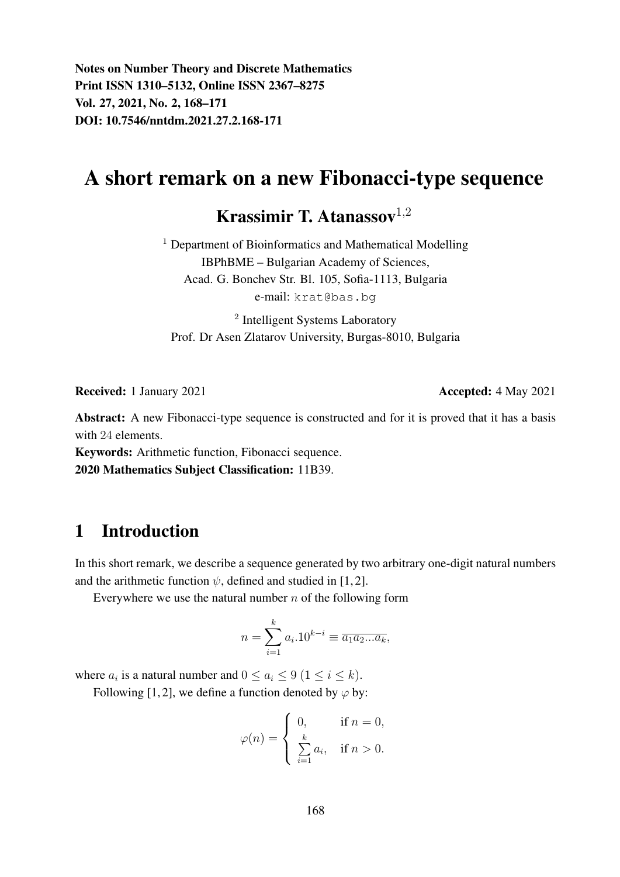Notes on Number Theory and Discrete Mathematics Print ISSN 1310–5132, Online ISSN 2367–8275 Vol. 27, 2021, No. 2, 168–171 DOI: 10.7546/nntdm.2021.27.2.168-171

# A short remark on a new Fibonacci-type sequence

Krassimir T. Atanassov $1,2$ 

<sup>1</sup> Department of Bioinformatics and Mathematical Modelling IBPhBME – Bulgarian Academy of Sciences, Acad. G. Bonchev Str. Bl. 105, Sofia-1113, Bulgaria e-mail: krat@bas.bg

<sup>2</sup> Intelligent Systems Laboratory Prof. Dr Asen Zlatarov University, Burgas-8010, Bulgaria

Received: 1 January 2021 **Accepted: 4 May 2021** 

Abstract: A new Fibonacci-type sequence is constructed and for it is proved that it has a basis with 24 elements.

Keywords: Arithmetic function, Fibonacci sequence.

2020 Mathematics Subject Classification: 11B39.

#### 1 Introduction

In this short remark, we describe a sequence generated by two arbitrary one-digit natural numbers and the arithmetic function  $\psi$ , defined and studied in [1, 2].

Everywhere we use the natural number  $n$  of the following form

$$
n = \sum_{i=1}^{k} a_i \cdot 10^{k-i} \equiv \overline{a_1 a_2 ... a_k},
$$

where  $a_i$  is a natural number and  $0 \le a_i \le 9$   $(1 \le i \le k)$ .

Following [1, 2], we define a function denoted by  $\varphi$  by:

$$
\varphi(n) = \begin{cases} 0, & \text{if } n = 0, \\ \sum_{i=1}^{k} a_i, & \text{if } n > 0. \end{cases}
$$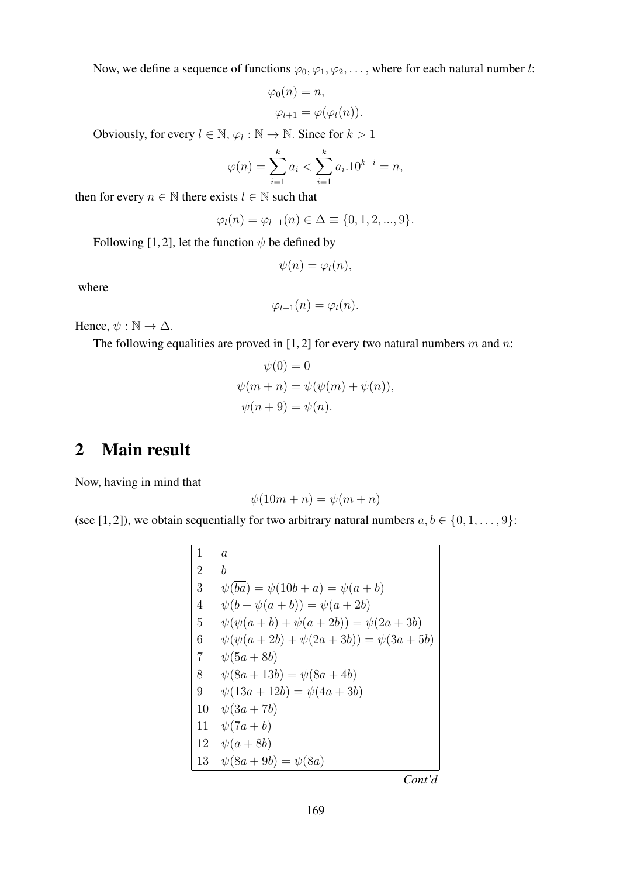Now, we define a sequence of functions  $\varphi_0, \varphi_1, \varphi_2, \ldots$ , where for each natural number l:

$$
\varphi_0(n) = n,
$$
  

$$
\varphi_{l+1} = \varphi(\varphi_l(n)).
$$

Obviously, for every  $l \in \mathbb{N}$ ,  $\varphi_l : \mathbb{N} \to \mathbb{N}$ . Since for  $k > 1$ 

$$
\varphi(n) = \sum_{i=1}^{k} a_i < \sum_{i=1}^{k} a_i \cdot 10^{k-i} = n,
$$

then for every  $n \in \mathbb{N}$  there exists  $l \in \mathbb{N}$  such that

$$
\varphi_l(n) = \varphi_{l+1}(n) \in \Delta \equiv \{0, 1, 2, ..., 9\}.
$$

Following [1, 2], let the function  $\psi$  be defined by

$$
\psi(n)=\varphi_l(n),
$$

where

$$
\varphi_{l+1}(n) = \varphi_l(n).
$$

Hence,  $\psi : \mathbb{N} \to \Delta$ .

The following equalities are proved in  $[1, 2]$  for every two natural numbers m and n:

$$
\psi(0) = 0
$$
  

$$
\psi(m+n) = \psi(\psi(m) + \psi(n)),
$$
  

$$
\psi(n+9) = \psi(n).
$$

#### 2 Main result

Now, having in mind that

$$
\psi(10m+n) = \psi(m+n)
$$

(see [1, 2]), we obtain sequentially for two arbitrary natural numbers  $a, b \in \{0, 1, \ldots, 9\}$ :

$$
\begin{array}{c|c}\n1 & a \\
2 & b \\
3 & \psi(\overline{ba}) = \psi(10b + a) = \psi(a + b) \\
4 & \psi(b + \psi(a + b)) = \psi(a + 2b) \\
5 & \psi(\psi(a + b) + \psi(a + 2b)) = \psi(2a + 3b) \\
6 & \psi(\psi(a + 2b) + \psi(2a + 3b)) = \psi(3a + 5b) \\
7 & \psi(5a + 8b) \\
8 & \psi(8a + 13b) = \psi(8a + 4b) \\
9 & \psi(13a + 12b) = \psi(4a + 3b) \\
10 & \psi(3a + 7b) \\
11 & \psi(7a + b) \\
12 & \psi(a + 8b) \\
13 & \psi(8a + 9b) = \psi(8a)\n\end{array}
$$

*Cont'd*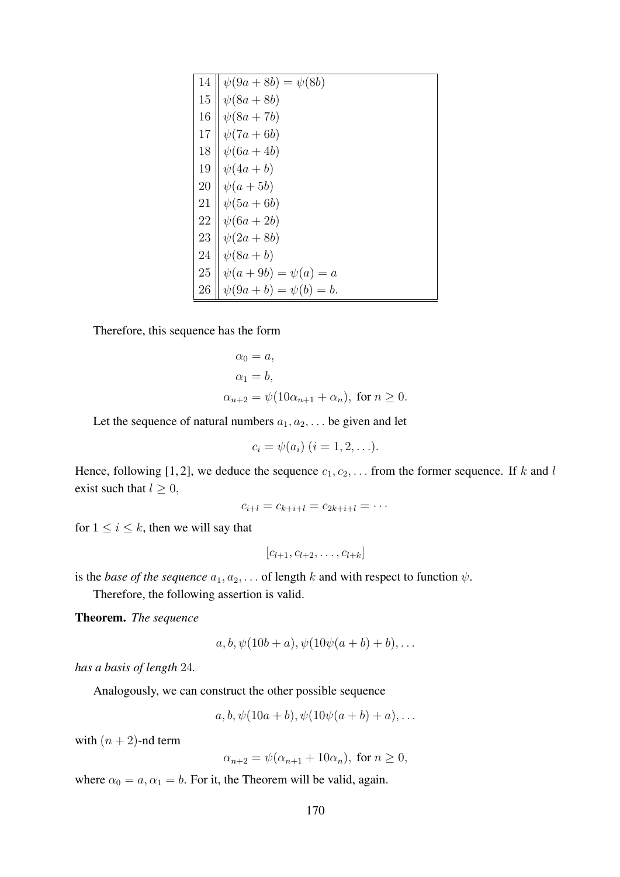| 14 | $\psi(9a + 8b) = \psi(8b)$    |
|----|-------------------------------|
| 15 | $\psi(8a+8b)$                 |
| 16 | $\psi(8a+7b)$                 |
| 17 | $\psi(7a+6b)$                 |
| 18 | $\psi(6a+4b)$                 |
| 19 | $\psi(4a+b)$                  |
| 20 | $\psi(a+5b)$                  |
| 21 | $\psi(5a+6b)$                 |
| 22 | $\psi(6a+2b)$                 |
| 23 | $\psi(2a+8b)$                 |
| 24 | $\psi(8a+b)$                  |
| 25 | $\psi(a + 9b) = \psi(a) = a$  |
| 26 | $\psi(9a + b) = \psi(b) = b.$ |

Therefore, this sequence has the form

$$
\alpha_0 = a,
$$
  
\n
$$
\alpha_1 = b,
$$
  
\n
$$
\alpha_{n+2} = \psi(10\alpha_{n+1} + \alpha_n), \text{ for } n \ge 0.
$$

Let the sequence of natural numbers  $a_1, a_2, \ldots$  be given and let

$$
c_i = \psi(a_i) \ (i = 1, 2, \ldots).
$$

Hence, following [1, 2], we deduce the sequence  $c_1, c_2, \ldots$  from the former sequence. If k and l exist such that  $l \geq 0$ ,

$$
c_{i+l}=c_{k+i+l}=c_{2k+i+l}=\cdots
$$

for  $1 \leq i \leq k$ , then we will say that

$$
[c_{l+1}, c_{l+2}, \ldots, c_{l+k}]
$$

is the *base of the sequence*  $a_1, a_2, \ldots$  of length k and with respect to function  $\psi$ .

Therefore, the following assertion is valid.

Theorem. *The sequence*

$$
a, b, \psi(10b+a), \psi(10\psi(a+b)+b), \ldots
$$

*has a basis of length* 24*.*

Analogously, we can construct the other possible sequence

$$
a, b, \psi(10a + b), \psi(10\psi(a + b) + a), \dots
$$

with  $(n + 2)$ -nd term

$$
\alpha_{n+2} = \psi(\alpha_{n+1} + 10\alpha_n), \text{ for } n \ge 0,
$$

where  $\alpha_0 = a, \alpha_1 = b$ . For it, the Theorem will be valid, again.